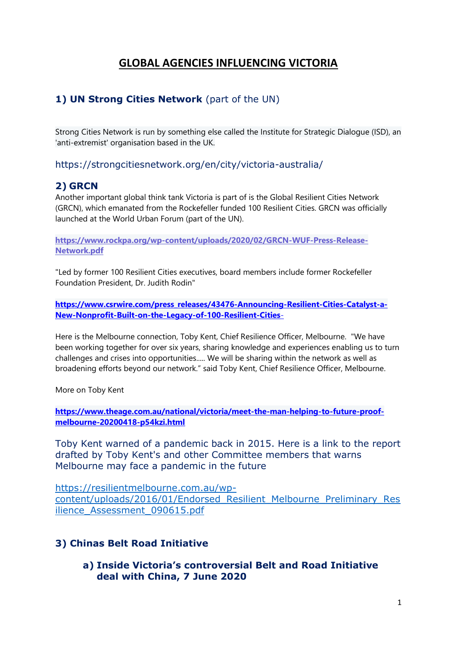# **GLOBAL AGENCIES INFLUENCING VICTORIA**

### **1) UN Strong Cities Network** (part of the UN)

Strong Cities Network is run by something else called the Institute for Strategic Dialogue (ISD), an 'anti-extremist' organisation based in the UK.

https://strongcitiesnetwork.org/en/city/victoria-australia/

#### **2) GRCN**

Another important global think tank Victoria is part of is the Global Resilient Cities Network (GRCN), which emanated from the Rockefeller funded 100 Resilient Cities. GRCN was officially launched at the World Urban Forum (part of the UN).

**[https://www.rockpa.org/wp-content/uploads/2020/02/GRCN-WUF-Press-Release-](https://www.rockpa.org/wp-content/uploads/2020/02/GRCN-WUF-Press-Release-Network.pdf)[Network.pdf](https://www.rockpa.org/wp-content/uploads/2020/02/GRCN-WUF-Press-Release-Network.pdf)**

"Led by former 100 Resilient Cities executives, board members include former Rockefeller Foundation President, Dr. Judith Rodin"

**[https://www.csrwire.com/press\\_releases/43476-Announcing-Resilient-Cities-Catalyst-a-](https://www.csrwire.com/press_releases/43476-Announcing-Resilient-Cities-Catalyst-a-New-Nonprofit-Built-on-the-Legacy-of-100-Resilient-Cities-)[New-Nonprofit-Built-on-the-Legacy-of-100-Resilient-Cities](https://www.csrwire.com/press_releases/43476-Announcing-Resilient-Cities-Catalyst-a-New-Nonprofit-Built-on-the-Legacy-of-100-Resilient-Cities-)**-

Here is the Melbourne connection, Toby Kent, Chief Resilience Officer, Melbourne. "We have been working together for over six years, sharing knowledge and experiences enabling us to turn challenges and crises into opportunities..... We will be sharing within the network as well as broadening efforts beyond our network." said Toby Kent, Chief Resilience Officer, Melbourne.

More on Toby Kent

**[https://www.theage.com.au/national/victoria/meet-the-man-helping-to-future-proof](https://www.theage.com.au/national/victoria/meet-the-man-helping-to-future-proof-melbourne-20200418-p54kzi.html)[melbourne-20200418-p54kzi.html](https://www.theage.com.au/national/victoria/meet-the-man-helping-to-future-proof-melbourne-20200418-p54kzi.html)**

Toby Kent warned of a pandemic back in 2015. Here is a link to the report drafted by Toby Kent's and other Committee members that warns Melbourne may face a pandemic in the future

[https://resilientmelbourne.com.au/wp](https://resilientmelbourne.com.au/wp-content/uploads/2016/01/Endorsed_Resilient_Melbourne_Preliminary_Resilience_Assessment_090615.pdf)[content/uploads/2016/01/Endorsed\\_Resilient\\_Melbourne\\_Preliminary\\_Res](https://resilientmelbourne.com.au/wp-content/uploads/2016/01/Endorsed_Resilient_Melbourne_Preliminary_Resilience_Assessment_090615.pdf) ilience Assessment 090615.pdf

#### **3) Chinas Belt Road Initiative**

**a) Inside Victoria's controversial Belt and Road Initiative deal with China, 7 June 2020**